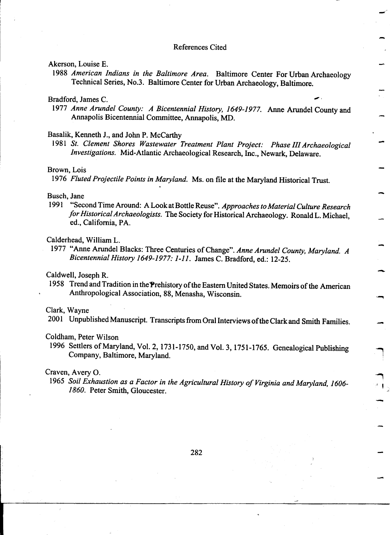#### References Cited

-

.<br>-

--

-

-

: , -'

## Akerson, Louise E.

!

!<br>!

1988 American Indians in the Baltimore Area. Baltimore Center For Urban Archaeology Technical Series, No.3. Baltimore Center for Urban Archaeology, Baltimore.

### Bradford, James C.

1977 Anne Arundel County: A Bicentennial History, 1649-1977. Anne Arundel County and<br>Annapolis Bicentennial Committee, Annapolis, MD.

#### Basalik, Kenneth J., and John P. McCarthy .

1981 St. Clement Shores Wastewater Treatment Plant Project: Phase III Archaeological Investigations. Mid-Atlantic Archaeological Research, Inc., Newark, Delaware.

## $Brown$  Lois  $\sim$

1976 *Fluted Projectile Points in Maryland*. Ms. on file at the Maryland Historical Trust.<br>Busch, Jane

1991 "Second Time Around: A Look at Bottle Reuse". Approaches to Material Culture Research for Historical Archaeologists. The Society for Historical Archaeology. Ronald L. Michael, ed., California, PA. Calderhead, William L.<br>Calderhead, William L.

1977 "Anne Arundel Blacks: Three Centuries of Change". Anne Arundel County, Maryland, A Bicentennial History 1649-1977: 1-11. James C. Bradford, ed.: 12-25.

#### Caldwell, Joseph R.

1958 Trend and Tradition in the Prehistory of the Eastern United States. Memoirs of the American Anthropological Association, 88, Menasha, Wisconsin.

#### Clark, Wayne

2001 Unpublished Manuscript. Transcripts from Oral Interviews of the Clark and Smith Families.

#### Coldham, Peter Wilson

1996 Settlers of Maryland, Vol. 2, 1731-1750, and Vol. 3, 1751-1765. Genealogical Publishing Company, Baltimore, Maryland.

#### Craven, Avery O.

1965 Soil Exhaustion as a Factor in the Agricultural History of Virginia and Maryland, 1606-1860. Peter Smith, Gloucester.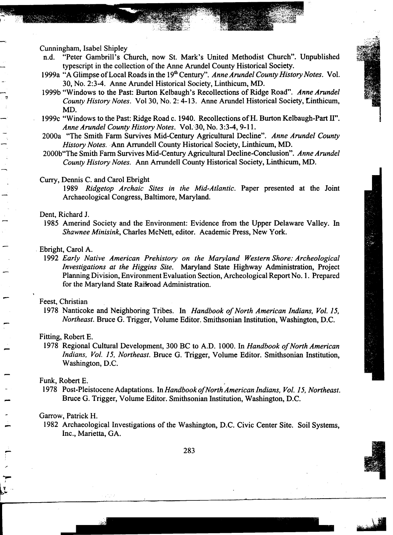Cunningham, Isabel Shipley

-,

- n.d. "Peter Gambrill's Church, now St. Mark's United Methodist Church". Unpublished typescript in the collection of the Anne Arundel County Historical Society.
- 1999a "A Glimpse of Local Roads in the 19<sup>th</sup> Century". Anne Arundel County History Notes. Vol. f;'" . 30, No. 2:3-4. Anne Arundel Historical Society, Linthicum, MD.
- 1999b "Windows to the Past: Burton Kelbaugh's Recollections of Ridge Road". Anne Arundel  $\Box$ 
	- 1999c "Windows to the Past: Ridge Road c. 1940. Recollections of H. Burton Kelbaugh-Part II". Anne Arundel County History Notes. Vol. 30, No. 3:3-4, 9-11.
	- 2000a "The Smith Farm Survives Mid-Century Agricultural Decline". Anne Arundel County History Notes. Ann Arrundell County Historical Society, Linthicum, MD.
	- 2000b"The Smith Farm Survives Mid-Century Agricultural Decline-Conclusion". Anne Arundel County History Notes. Ann Arrundell County Historical Society, Linthicum, MD.

#### Curry, Dennis C. and Carol Ebright

1989 Ridgetop Archaic Sites in the Mid-Atlantic. Paper presented at the Joint<br>Archaeological Congress Baltimore Maryland

#### Dent, Richard J.

1985 Amerind Society and the Environment: Evidence from the Upper Delaware Valley. In Shawnee Minisink, Charles McNett, editor. Academic Press, New York.

#### Ebright, Carol A.

1992 Early Native American Prehistory on the Maryland Western Shore: Archeological Investigations at the Higgins Site. Maryland State Highway Administration, Project for the Maryland State Raikoad Administration.

#### Feest, Christian

1978 Nanticoke and Neighboring Tribes. In Handbook of North American Indians, Vol. 15, Northeast. Bruce G. Trigger, Volume Editor. Smithsonian Institution, Washington, D.C.

#### Fitting, Robert E.

1978 Regional Cultural Development, 300 BC to A.D. 1000. In Handbook of North American Indians, Vol. 15, Northeast. Bruce G. Trigger, Volume Editor. Smithsonian Institution, Washington, D.C.

Funk, Robert E.<br>1978 Post-Pleistocene Adaptations. In Handbook of North American Indians, Vol. 15, Northeast. <sup>~</sup>Bruce G. Trigger, Volume Editor. Smithsonian Institution, Washington, D.C.

#### Garrow, Patrick H.

...,..

1982 Archaeological Investigations of the Washington, D.C. Civic Center Site. Soil Systems, Inc., Marietta, GA.

 $\overline{283}$ 

- ~- - .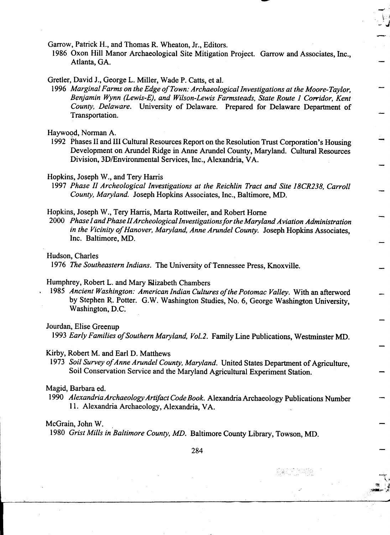Garrow, Patrick H., and Thomas R. Wheaton, Jr., Editors.

1986 Oxon Hill Manor Archaeological Site Mitigation Project. Garrow and Associates, Inc., Atlanta, GA.

~

-,'  $\cdot$  "  $\cdot$  .

--

 $\overline{\mathcal{X}}$ ~ ,~

-*'.*1 in the second contract of the second contract of the second contract of the second contract of the second contract of the second contract of the second contract of the second contract of the second contract of the s

Gretler, David J., George L. Miller, Wade P. Catts, et al.

1996 Marginal Farms on the Edge of Town: Archaeological Investigations at the Moore-Taylor, Benjamin Wynn (Lewis-E), and Wilson-Lewis Farmsteads, State Route 1 Corridor, Kent County, Delaware. University of Delaware. Prepared for Delaware Department of Transportation.

Haywood, Norman A.<br>1992 Phases II and III Cultural Resources Report on the Resolution Trust Corporation's Housing Development on Arundel Ridge in Anne Arundel County, Maryland. Cultural Resources Division, 3D/Environmental Services, Inc., Alexandria, VA.

#### Hopkins, Joseph W., and Tery Harris

1997 Phase II Archeological Investigations at the Reichlin Tract and Site 18CR238, Carroll County, Maryland. Joseph Hopkins Associates, Inc., Baltimore, MD.

Hopkins, Joseph W., Tery Harris, Marta Rottweiler, and Robert Horne

2000 Phase I and Phase II Archeological Investigations for the Maryland Aviation Administration in the Vicinity of Hanover, Maryland, Anne Arundel County. Joseph Hopkins Associates, Inc. Baltimore, MD.

Hudson, Charles

1976 The Southeastern Indians. The University of Tennessee Press, Knoxville.

#### Humphrey, Robert L. and Mary Rlizabeth Chambers

1985 Ancient Washington: American Indian Cultures of the Potomac Valley. With an afterword by Stephen R,. Potter. G.W. Washington Studies, No.6, George Washington University, Washington, D.C:

#### Jourdan, Elise Greenup

1993 Early Families of Southern Maryland, Vol.2. Family Line Publications, Westminster MD.

#### Kirby, Robert M. and Earl D. Matthews

1973 Soil Survey of Anne Arundel County, Maryland. United States Department of Agriculture, Soil Conservation Service and the Maryland Agricultural Experiment Station. -

#### Magid, Barbara ed.

1990 Alexandria Archaeology Artifact Code Book. Alexandria Archaeology Publications Number - 11. Alexandria Archaeology, Alexandria, VA.

#### McGrain, John W.

1980 Grist Mills in Baltimore County, MD. Baltimore County Library, Towson, MD.

 $284$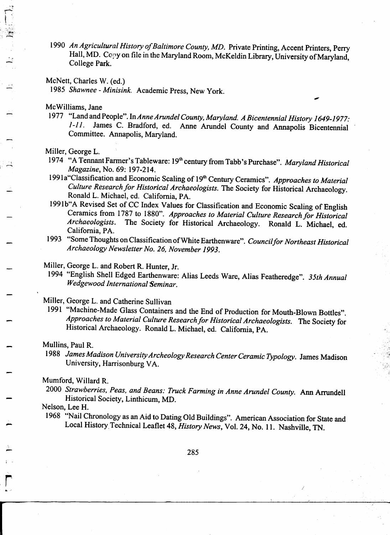1990 An Agricultural History of Baltimore County, MD. Private Printing, Accent Printers, Perry Hall, MD. Copy on file in the Maryland Room, McKeldin Library, University of Maryland, College Park.

#### McNett, Charles W. (ed.)

1985 Shawnee - Minisink. Academic Press, New York.

McWilliams, Jane

'"  $\overline{r}$  $\mathcal{L}_{\text{max}}$  $\frac{1}{2}$ 

~

1977 "Land and People". In Anne Arundel County, Maryland. A Bicentennial History 1649-1977: 1-11. James C. Bradford, ed. Anne Arundel County and Annapolis Bicentennial Committee. Annapolis, Maryland.

,.

Miller, George L.

- 1974 "A Tennant Farmer's Tableware: 19<sup>th</sup> century from Tabb's Purchase". *Maryland Historical*<br>Magazine, No. 69: 197-214.
	- 1991a "Classification and Economic Scaling of 19<sup>th</sup> Century Ceramics". Approaches to Material Culture Research for Historical Archaeologists. The Society for Historical Archaeology.
		- 1991b" A Revised Set of CC Index Values for Classification and Economic Scaling of English Ceramics from 1787 to 1880". Approaches to Material Culture Research for Historical Archaeologists. The Society for Historical Archaeology. Ronald L. Michael, ed. California, PA.
		- 1993 "Some Thoughts on Classification of White Earthenware". Council for Northeast Historical Archaeology Newsletter No. 26, November 1993.
		-
		- Miller, George L. and Robert R. Hunter, Jr.<br>1994 "English Shell Edged Earthenware: Alias Leeds Ware, Alias Featheredge". 35th Annual Wedgewood International Seminar.

## Miller, George L. and Catherine Sullivan

1991 "Machine-Made Glass Containers and the End of Production for Mouth-Blown Bottles". Approaches to Material Culture Research for Historical Archaeologists. The Society for Historical Archaeology. Ronald L. Michael, ed. California, PA.

#### Mullins, Paul R.

.

-

,

-

1988 James Madison University Archeology Research Center Ceramic Typology. James Madison University, Harrisonburg VA.

### Mumford, Willard R.

2000 Strawberries, Peas, and Beans: Truck Farming in Anne Arundel County. Ann Arrundell Historical Society, Linthicum, MD.

Nelson, Lee H.

1968 "Nail Chronology as an Aid to Dating Old Buildings". American Association for State and Local History Technical Leaflet 48, History News, Vol. 24, No. 11. Nashville, TN.

 $\mathbf{r}$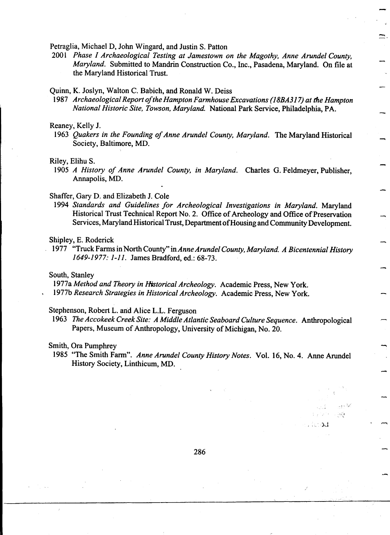Petraglia, Michael D, John Wingard, and Justin S. Patton

2001 Phase I Archaeological Testing at Jamestown on the Magothy, Anne Arundel County, Maryland. Submitted to Mandrin Construction Co., Inc., Pasadena, Maryland. On file at the Maryland Historical Trust.

-

 $\overline{a}$ 

~

-

-

,,' '. c.

bu gos

وأندمى

 $\sim$  ,  $\sim$  ,  $\sim$  ,  $\sim$   $\sim$   $\sim$   $\sim$   $\sim$   $\sim$   $\sim$ 

#### Quinn, K. Joslyn, Walton C. Babich, and Ronald W. Deiss

1987 Archaeological Report of the Hampton Farmhouse Excavations (18BA317) at the Hampton<br>National Historic Site, Towson, Maryland. National Park Service, Philadelphia, PA.

#### Reaney, Kelly J.

1963 Quakers in the Founding of Anne Arundel County, Maryland. The Maryland Historical Society, Baltimore, MD.

# Riley, Elihu S.  $\overline{\phantom{a}}$

1905 A History of Anne Arundel County, in Maryland. Charles G. Feldmeyer, Publisher, ! Annapolis, MD.

#### Shaffer, Gary D. and Elizabeth J. Cole

1994 Standards and Guidelines for Archeological Investigations in Maryland. Maryland Historical Trust Technical Report No. 2. Office of Archeology and Office of Preservation Services, Maryland Historical Trust, Department of Housing and Community Development.

#### Shipley, E. Roderick

1977 "Truck Farms in North County" in Anne Arundel County, Maryland. A Bicentennial History 1649-1977: 1-11. James Bradford, ed.: 68-73.

#### South, Stanley

1977a Method and Theory in Historical Archeology. Academic Press, New York. 1977b Research Strategies in Historical Archeology. Academic Press, New York.

#### Stephenson, Robert L. and Alice L.L. Ferguson

1963 The Accokeek Creek Site: A Middle Atlantic Seaboard Culture Sequence. Anthropological Papers, Museum of Anthropology, University of Michigan, No. 20.

#### Smith, Ora Pumphrey

1985 "The Smith Farm". Anne Arundel County History Notes. Vol. 16, No.4. Anne Arundel History Society, Linthicum, MD. -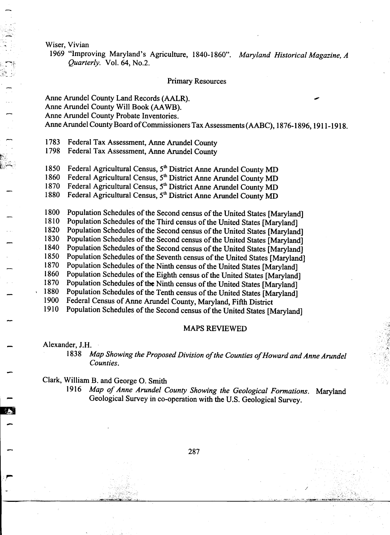Wiser, Vivian

~

i.

rt"  $\mathbb{R} \gg 1$ 

-

-

-

.r-

1969 "Improving Maryland's Agriculture, 1840-1860". Maryland Historical Magazine, A Quarterly. Vol. 64, No.2.

#### Primary Resources

## Anne Arundel County Land Records (AALR). Anne Arundel County Will Book (AA WB). Anne Arundel County Probate Inventories. Anne Arundel County Board of Commissioners Tax Assessments (AABC), 1876-1896, 1911-1918.

1783 Federal Tax Assessment, Anne Arundel County

1798 Federal Tax Assessment, Anne Arundel County

 $\mathbb{Z}^{\mathbb{Z}}$  1850 Federal Agricultural Census, 5<sup>th</sup> District Anne Arundel County MD

1860 Federal Agricultural Census, 5<sup>th</sup> District Anne Arundel County MD

1870 Federal Agricultural Census, 5<sup>th</sup> District Anne Arundel County MD - 1880 Federal Agricultural Census, 5<sup>th</sup> District Anne Arundel County MD

1800 Population Schedules of the Second census of the United States [Maryland] 1810 Population Schedules of the Third census of the United States [Maryland]

1820 Population Schedules of the Second census of the United States [Maryland]

- 1830 Population Schedules of the Second census of the United States [Maryland] 1840 Population Schedules of the Second census of the United States [Maryland]
- 
- 1850 Population Schedules of the Seventh census of the United States [Maryland]
- 1870 Population Schedules of the Ninth census of the United States [Maryland]<br>1860 Population Schedules of the Eighth census of the United States [Maryland]
- Population Schedules of the Eighth census of the United States [Maryland]
- 1870 Population Schedules of the Ninth census of the United States [Maryland]
- 1880 Population Schedules of the Tenth census of the United States [Maryland]<br>1900 Federal Census of Anne Arundel County Maryland Fifth District
- Federal Census of Anne Arundel County, Maryland, Fifth District
- 1910 Population Schedules of the Second census of the United States [Maryland]

#### MAPS REVIEWED

Alexander, J.H.<br> $1838 \text{ A}$ 

Map Showing the Proposed Division of the Counties of Howard and Anne Arundel Counties.

Clark, William B. and George O. Smith

1916 Map of Anne Arundel County Showing the Geological Formations. Maryland CIAIK, WILLIAM B. and George O. Smith<br>1916 *Map of Anne Arundel County Showing the Geological Formation*<br>Geological Survey in co-operation with the U.S. Geological Survey.

- <sup>287</sup>

- "C"C"C", "C"C", "C"C", "C"C", "C"C", "C"C", "C"C", "C"C", "C"C", "C"C", "C"C", "C"C", "C"C", "C"C", "" "C"C"<br>And an an Company company company company company company company company company company company company comp